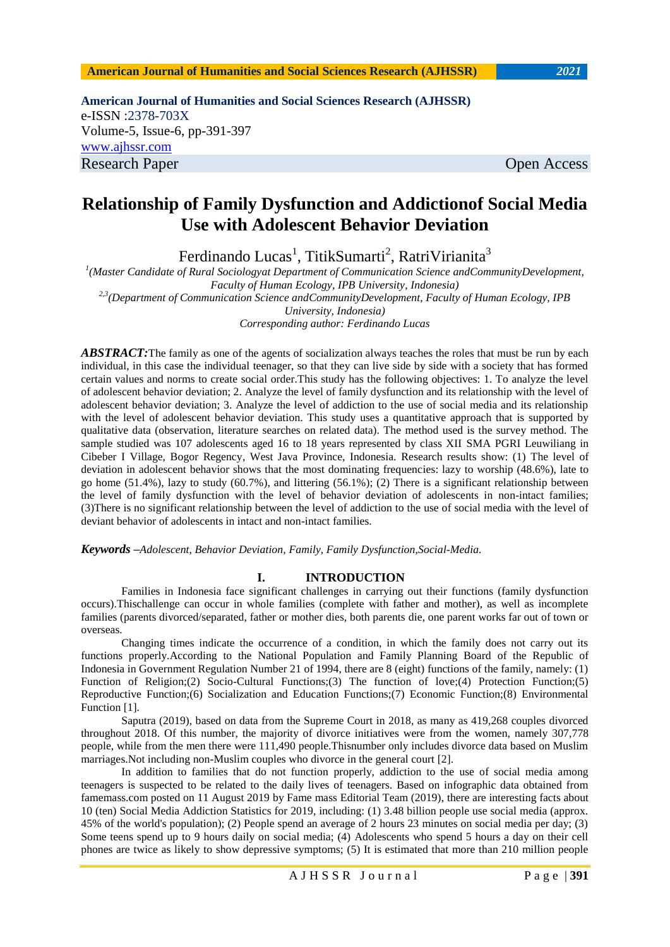**American Journal of Humanities and Social Sciences Research (AJHSSR)** e-ISSN :2378-703X Volume-5, Issue-6, pp-391-397 [www.ajhssr.com](http://www.ajhssr.com/) Research Paper **Open Access** 

# **Relationship of Family Dysfunction and Addictionof Social Media Use with Adolescent Behavior Deviation**

Ferdinando Lucas<sup>1</sup>, TitikSumarti<sup>2</sup>, RatriVirianita<sup>3</sup>

*1 (Master Candidate of Rural Sociologyat Department of Communication Science andCommunityDevelopment, Faculty of Human Ecology, IPB University, Indonesia) 2,3(Department of Communication Science andCommunityDevelopment, Faculty of Human Ecology, IPB University, Indonesia) Corresponding author: Ferdinando Lucas*

*ABSTRACT:* The family as one of the agents of socialization always teaches the roles that must be run by each individual, in this case the individual teenager, so that they can live side by side with a society that has formed certain values and norms to create social order.This study has the following objectives: 1. To analyze the level of adolescent behavior deviation; 2. Analyze the level of family dysfunction and its relationship with the level of adolescent behavior deviation; 3. Analyze the level of addiction to the use of social media and its relationship with the level of adolescent behavior deviation. This study uses a quantitative approach that is supported by qualitative data (observation, literature searches on related data). The method used is the survey method. The sample studied was 107 adolescents aged 16 to 18 years represented by class XII SMA PGRI Leuwiliang in Cibeber I Village, Bogor Regency, West Java Province, Indonesia. Research results show: (1) The level of deviation in adolescent behavior shows that the most dominating frequencies: lazy to worship (48.6%), late to go home (51.4%), lazy to study (60.7%), and littering (56.1%); (2) There is a significant relationship between the level of family dysfunction with the level of behavior deviation of adolescents in non-intact families; (3)There is no significant relationship between the level of addiction to the use of social media with the level of deviant behavior of adolescents in intact and non-intact families.

*Keywords –Adolescent, Behavior Deviation, Family, Family Dysfunction,Social-Media.*

# **I. INTRODUCTION**

Families in Indonesia face significant challenges in carrying out their functions (family dysfunction occurs).Thischallenge can occur in whole families (complete with father and mother), as well as incomplete families (parents divorced/separated, father or mother dies, both parents die, one parent works far out of town or overseas.

Changing times indicate the occurrence of a condition, in which the family does not carry out its functions properly.According to the National Population and Family Planning Board of the Republic of Indonesia in Government Regulation Number 21 of 1994, there are 8 (eight) functions of the family, namely: (1) Function of Religion;(2) Socio-Cultural Functions;(3) The function of love;(4) Protection Function;(5) Reproductive Function;(6) Socialization and Education Functions;(7) Economic Function;(8) Environmental Function [1].

Saputra (2019), based on data from the Supreme Court in 2018, as many as 419,268 couples divorced throughout 2018. Of this number, the majority of divorce initiatives were from the women, namely 307,778 people, while from the men there were 111,490 people.Thisnumber only includes divorce data based on Muslim marriages.Not including non-Muslim couples who divorce in the general court [2].

In addition to families that do not function properly, addiction to the use of social media among teenagers is suspected to be related to the daily lives of teenagers. Based on infographic data obtained from famemass.com posted on 11 August 2019 by Fame mass Editorial Team (2019), there are interesting facts about 10 (ten) Social Media Addiction Statistics for 2019, including: (1) 3.48 billion people use social media (approx. 45% of the world's population); (2) People spend an average of 2 hours 23 minutes on social media per day; (3) Some teens spend up to 9 hours daily on social media; (4) Adolescents who spend 5 hours a day on their cell phones are twice as likely to show depressive symptoms; (5) It is estimated that more than 210 million people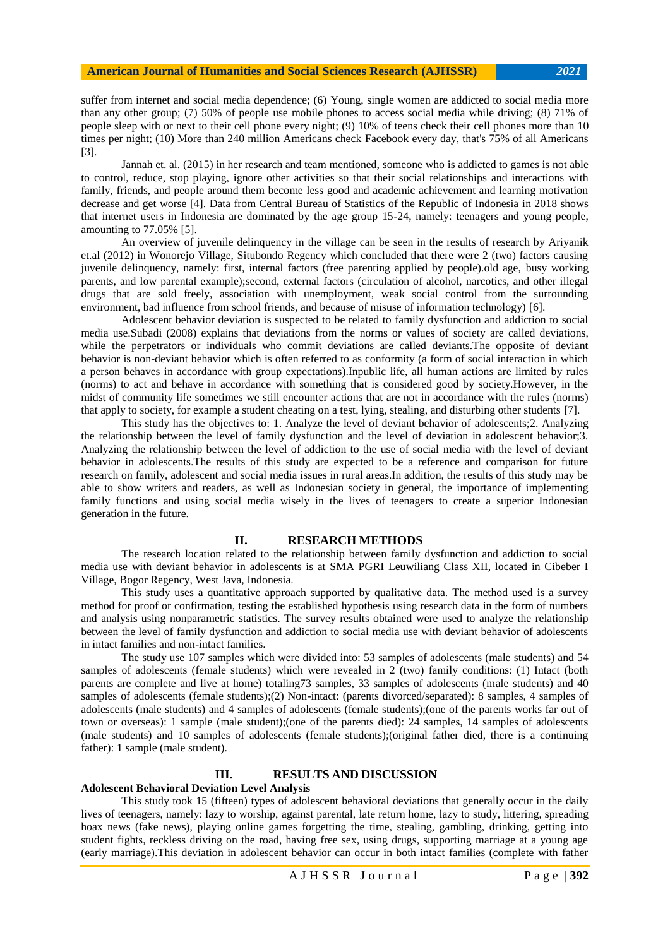suffer from internet and social media dependence; (6) Young, single women are addicted to social media more than any other group; (7) 50% of people use mobile phones to access social media while driving; (8) 71% of people sleep with or next to their cell phone every night; (9) 10% of teens check their cell phones more than 10 times per night; (10) More than 240 million Americans check Facebook every day, that's 75% of all Americans [3].

Jannah et. al. (2015) in her research and team mentioned, someone who is addicted to games is not able to control, reduce, stop playing, ignore other activities so that their social relationships and interactions with family, friends, and people around them become less good and academic achievement and learning motivation decrease and get worse [4]. Data from Central Bureau of Statistics of the Republic of Indonesia in 2018 shows that internet users in Indonesia are dominated by the age group 15-24, namely: teenagers and young people, amounting to 77.05% [5].

An overview of juvenile delinquency in the village can be seen in the results of research by Ariyanik et.al (2012) in Wonorejo Village, Situbondo Regency which concluded that there were 2 (two) factors causing juvenile delinquency, namely: first, internal factors (free parenting applied by people).old age, busy working parents, and low parental example);second, external factors (circulation of alcohol, narcotics, and other illegal drugs that are sold freely, association with unemployment, weak social control from the surrounding environment, bad influence from school friends, and because of misuse of information technology) [6].

Adolescent behavior deviation is suspected to be related to family dysfunction and addiction to social media use.Subadi (2008) explains that deviations from the norms or values of society are called deviations, while the perpetrators or individuals who commit deviations are called deviants.The opposite of deviant behavior is non-deviant behavior which is often referred to as conformity (a form of social interaction in which a person behaves in accordance with group expectations).Inpublic life, all human actions are limited by rules (norms) to act and behave in accordance with something that is considered good by society.However, in the midst of community life sometimes we still encounter actions that are not in accordance with the rules (norms) that apply to society, for example a student cheating on a test, lying, stealing, and disturbing other students [7].

This study has the objectives to: 1. Analyze the level of deviant behavior of adolescents;2. Analyzing the relationship between the level of family dysfunction and the level of deviation in adolescent behavior;3. Analyzing the relationship between the level of addiction to the use of social media with the level of deviant behavior in adolescents.The results of this study are expected to be a reference and comparison for future research on family, adolescent and social media issues in rural areas.In addition, the results of this study may be able to show writers and readers, as well as Indonesian society in general, the importance of implementing family functions and using social media wisely in the lives of teenagers to create a superior Indonesian generation in the future.

#### **II. RESEARCH METHODS**

The research location related to the relationship between family dysfunction and addiction to social media use with deviant behavior in adolescents is at SMA PGRI Leuwiliang Class XII, located in Cibeber I Village, Bogor Regency, West Java, Indonesia.

This study uses a quantitative approach supported by qualitative data. The method used is a survey method for proof or confirmation, testing the established hypothesis using research data in the form of numbers and analysis using nonparametric statistics. The survey results obtained were used to analyze the relationship between the level of family dysfunction and addiction to social media use with deviant behavior of adolescents in intact families and non-intact families.

The study use 107 samples which were divided into: 53 samples of adolescents (male students) and 54 samples of adolescents (female students) which were revealed in 2 (two) family conditions: (1) Intact (both parents are complete and live at home) totaling73 samples, 33 samples of adolescents (male students) and 40 samples of adolescents (female students);(2) Non-intact: (parents divorced/separated): 8 samples, 4 samples of adolescents (male students) and 4 samples of adolescents (female students);(one of the parents works far out of town or overseas): 1 sample (male student);(one of the parents died): 24 samples, 14 samples of adolescents (male students) and 10 samples of adolescents (female students);(original father died, there is a continuing father): 1 sample (male student).

# **III. RESULTS AND DISCUSSION**

#### **Adolescent Behavioral Deviation Level Analysis**

This study took 15 (fifteen) types of adolescent behavioral deviations that generally occur in the daily lives of teenagers, namely: lazy to worship, against parental, late return home, lazy to study, littering, spreading hoax news (fake news), playing online games forgetting the time, stealing, gambling, drinking, getting into student fights, reckless driving on the road, having free sex, using drugs, supporting marriage at a young age (early marriage).This deviation in adolescent behavior can occur in both intact families (complete with father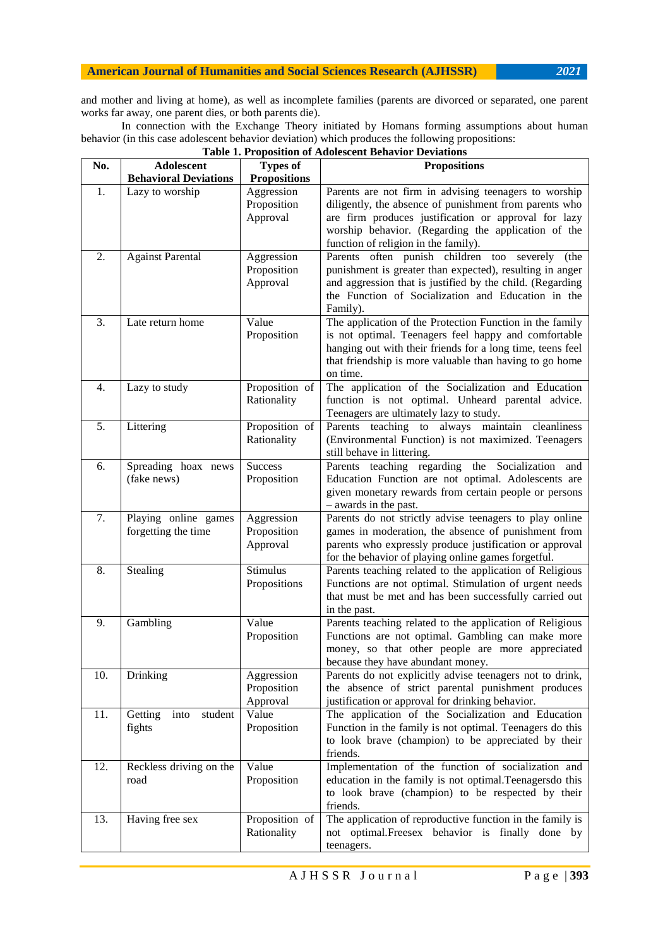and mother and living at home), as well as incomplete families (parents are divorced or separated, one parent works far away, one parent dies, or both parents die).

In connection with the Exchange Theory initiated by Homans forming assumptions about human behavior (in this case adolescent behavior deviation) which produces the following propositions: **Table 1. Proposition of Adolescent Behavior Deviations**

| No.              | Adolescent                                  | <b>Types of</b>                       | <b>Propositions</b>                                                                                                                                                                                                                                                    |  |
|------------------|---------------------------------------------|---------------------------------------|------------------------------------------------------------------------------------------------------------------------------------------------------------------------------------------------------------------------------------------------------------------------|--|
|                  | <b>Behavioral Deviations</b>                | <b>Propositions</b>                   |                                                                                                                                                                                                                                                                        |  |
| 1.               | Lazy to worship                             | Aggression<br>Proposition<br>Approval | Parents are not firm in advising teenagers to worship<br>diligently, the absence of punishment from parents who<br>are firm produces justification or approval for lazy<br>worship behavior. (Regarding the application of the<br>function of religion in the family). |  |
| 2.               | <b>Against Parental</b>                     | Aggression<br>Proposition<br>Approval | Parents often punish children<br>too<br>severely<br>(the<br>punishment is greater than expected), resulting in anger<br>and aggression that is justified by the child. (Regarding<br>the Function of Socialization and Education in the<br>Family).                    |  |
| 3.               | Late return home                            | Value<br>Proposition                  | The application of the Protection Function in the family<br>is not optimal. Teenagers feel happy and comfortable<br>hanging out with their friends for a long time, teens feel<br>that friendship is more valuable than having to go home<br>on time.                  |  |
| $\overline{4}$ . | Lazy to study                               | Proposition of<br>Rationality         | The application of the Socialization and Education<br>function is not optimal. Unheard parental advice.<br>Teenagers are ultimately lazy to study.                                                                                                                     |  |
| 5.               | Littering                                   | Proposition of<br>Rationality         | Parents teaching<br>always maintain cleanliness<br>to<br>(Environmental Function) is not maximized. Teenagers<br>still behave in littering.                                                                                                                            |  |
| 6.               | Spreading hoax news<br>(fake news)          | <b>Success</b><br>Proposition         | Parents teaching regarding the Socialization<br>and<br>Education Function are not optimal. Adolescents are<br>given monetary rewards from certain people or persons<br>- awards in the past.                                                                           |  |
| 7.               | Playing online games<br>forgetting the time | Aggression<br>Proposition<br>Approval | Parents do not strictly advise teenagers to play online<br>games in moderation, the absence of punishment from<br>parents who expressly produce justification or approval<br>for the behavior of playing online games forgetful.                                       |  |
| 8.               | Stealing                                    | <b>Stimulus</b><br>Propositions       | Parents teaching related to the application of Religious<br>Functions are not optimal. Stimulation of urgent needs<br>that must be met and has been successfully carried out<br>in the past.                                                                           |  |
| 9.               | Gambling                                    | Value<br>Proposition                  | Parents teaching related to the application of Religious<br>Functions are not optimal. Gambling can make more<br>money, so that other people are more appreciated<br>because they have abundant money.                                                                 |  |
| 10.              | Drinking                                    | Aggression<br>Proposition<br>Approval | Parents do not explicitly advise teenagers not to drink,<br>the absence of strict parental punishment produces<br>justification or approval for drinking behavior.                                                                                                     |  |
| 11.              | Getting<br>into<br>student<br>fights        | Value<br>Proposition                  | The application of the Socialization and Education<br>Function in the family is not optimal. Teenagers do this<br>to look brave (champion) to be appreciated by their<br>friends.                                                                                      |  |
| 12.              | Reckless driving on the<br>road             | Value<br>Proposition                  | Implementation of the function of socialization and<br>education in the family is not optimal. Teenagersdo this<br>to look brave (champion) to be respected by their<br>friends.                                                                                       |  |
| 13.              | Having free sex                             | Proposition of<br>Rationality         | The application of reproductive function in the family is<br>not optimal. Freesex behavior is finally done by<br>teenagers.                                                                                                                                            |  |

A J H S S R J o u r n a l P a g e | **393**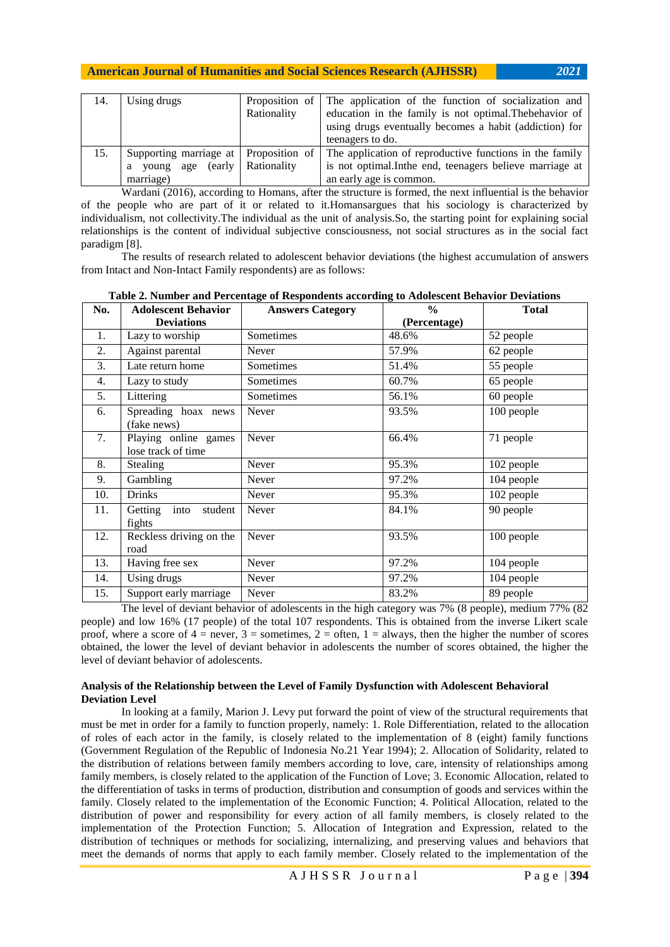| 14. | Using drugs                           |                     | Proposition of The application of the function of socialization and |
|-----|---------------------------------------|---------------------|---------------------------------------------------------------------|
|     |                                       | Rationality         | education in the family is not optimal. The behavior of             |
|     |                                       |                     | using drugs eventually becomes a habit (addiction) for              |
|     |                                       |                     | teenagers to do.                                                    |
| 15. | Supporting marriage at Proposition of |                     | The application of reproductive functions in the family             |
|     | age<br>young<br>a                     | (early Rationality) | is not optimal. In the end, teenagers believe marriage at           |
|     | marriage)                             |                     | an early age is common.                                             |

Wardani (2016), according to Homans, after the structure is formed, the next influential is the behavior of the people who are part of it or related to it.Homansargues that his sociology is characterized by individualism, not collectivity.The individual as the unit of analysis.So, the starting point for explaining social relationships is the content of individual subjective consciousness, not social structures as in the social fact paradigm [8].

The results of research related to adolescent behavior deviations (the highest accumulation of answers from Intact and Non-Intact Family respondents) are as follows:

| No. | <b>Adolescent Behavior</b>                 | <b>Answers Category</b> | $\frac{6}{9}$ | <b>Total</b> |
|-----|--------------------------------------------|-------------------------|---------------|--------------|
|     | <b>Deviations</b>                          |                         | (Percentage)  |              |
| 1.  | Lazy to worship                            | Sometimes               | 48.6%         | 52 people    |
| 2.  | Against parental                           | Never                   | 57.9%         | 62 people    |
| 3.  | Late return home                           | Sometimes               | 51.4%         | 55 people    |
| 4.  | Lazy to study                              | Sometimes               | 60.7%         | 65 people    |
| 5.  | Littering                                  | Sometimes               | 56.1%         | 60 people    |
| 6.  | Spreading hoax news<br>(fake news)         | Never                   | 93.5%         | 100 people   |
| 7.  | Playing online games<br>lose track of time | Never                   | 66.4%         | 71 people    |
| 8.  | Stealing                                   | Never                   | 95.3%         | 102 people   |
| 9.  | Gambling                                   | Never                   | 97.2%         | 104 people   |
| 10. | Drinks                                     | Never                   | 95.3%         | 102 people   |
| 11. | into<br>student<br>Getting<br>fights       | Never                   | 84.1%         | 90 people    |
| 12. | Reckless driving on the<br>road            | Never                   | 93.5%         | 100 people   |
| 13. | Having free sex                            | Never                   | 97.2%         | 104 people   |
| 14. | Using drugs                                | Never                   | 97.2%         | 104 people   |
| 15. | Support early marriage                     | Never                   | 83.2%         | 89 people    |

**Table 2. Number and Percentage of Respondents according to Adolescent Behavior Deviations**

The level of deviant behavior of adolescents in the high category was 7% (8 people), medium 77% (82 people) and low 16% (17 people) of the total 107 respondents. This is obtained from the inverse Likert scale proof, where a score of  $4 =$  never,  $3 =$  sometimes,  $2 =$  often,  $1 =$  always, then the higher the number of scores obtained, the lower the level of deviant behavior in adolescents the number of scores obtained, the higher the level of deviant behavior of adolescents.

## **Analysis of the Relationship between the Level of Family Dysfunction with Adolescent Behavioral Deviation Level**

In looking at a family, Marion J. Levy put forward the point of view of the structural requirements that must be met in order for a family to function properly, namely: 1. Role Differentiation, related to the allocation of roles of each actor in the family, is closely related to the implementation of 8 (eight) family functions (Government Regulation of the Republic of Indonesia No.21 Year 1994); 2. Allocation of Solidarity, related to the distribution of relations between family members according to love, care, intensity of relationships among family members, is closely related to the application of the Function of Love; 3. Economic Allocation, related to the differentiation of tasks in terms of production, distribution and consumption of goods and services within the family. Closely related to the implementation of the Economic Function; 4. Political Allocation, related to the distribution of power and responsibility for every action of all family members, is closely related to the implementation of the Protection Function; 5. Allocation of Integration and Expression, related to the distribution of techniques or methods for socializing, internalizing, and preserving values and behaviors that meet the demands of norms that apply to each family member. Closely related to the implementation of the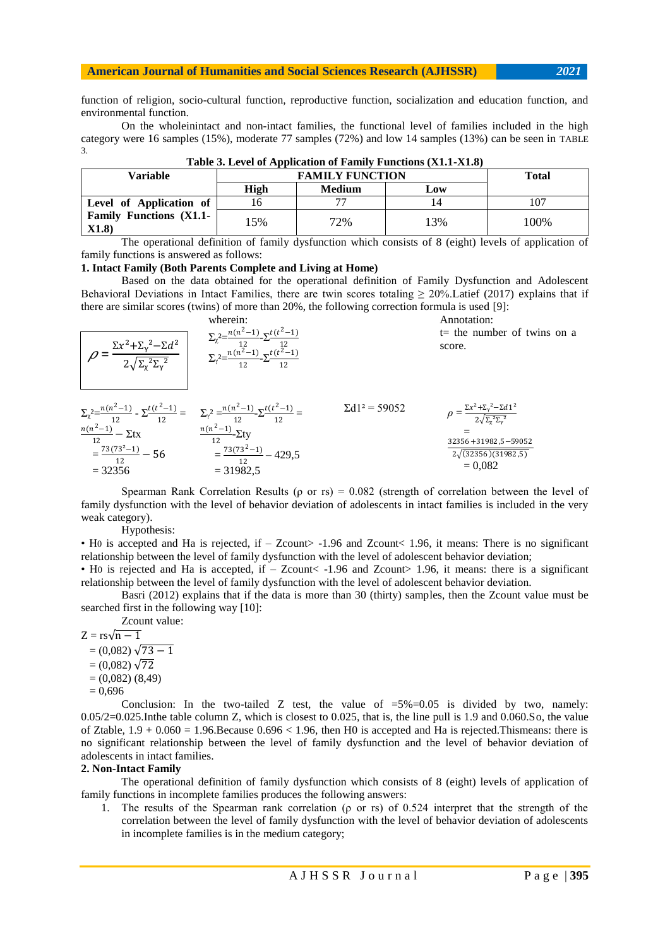## **American Journal of Humanities and Social Sciences Research (AJHSSR)** *2021*

function of religion, socio-cultural function, reproductive function, socialization and education function, and environmental function.

On the wholeinintact and non-intact families, the functional level of families included in the high category were 16 samples (15%), moderate 77 samples (72%) and low 14 samples (13%) can be seen in TABLE 3.

| Variable                        | <b>FAMILY FUNCTION</b> |               |     | <b>Total</b> |
|---------------------------------|------------------------|---------------|-----|--------------|
|                                 | <b>High</b>            | <b>Medium</b> | Low |              |
| Level of Application of         | l6                     | 77            | 14  | 07،          |
| Family Functions (X1.1-<br>X1.8 | 5%                     | 72%           | 13% | 100%         |

**Table 3. Level of Application of Family Functions (X1.1-X1.8)**

The operational definition of family dysfunction which consists of 8 (eight) levels of application of family functions is answered as follows:

#### **1. Intact Family (Both Parents Complete and Living at Home)**

Based on the data obtained for the operational definition of Family Dysfunction and Adolescent Behavioral Deviations in Intact Families, there are twin scores totaling  $\geq 20\%$ . Latief (2017) explains that if there are similar scores (twins) of more than 20%, the following correction formula is used [9]:

| $\rho = \frac{\Sigma x^2 + \Sigma_y^2 - \Sigma d^2}{2\sqrt{\Sigma_x^2 \Sigma_y^2}}$ | wherein:<br>$\Sigma_{\chi}^2 = \frac{n(n^2-1)}{12} \Sigma_{\frac{12}{12}} \Sigma_{\frac{12}{12}}$<br>$\Sigma_{\chi}^2 = \frac{n(n^2-1)}{12} \Sigma_{\frac{t(t^2-1)}{12}}$                                                                                                              |                       | Annotation:<br>$t$ = the number of twins on a<br>score.                                                                                                            |
|-------------------------------------------------------------------------------------|----------------------------------------------------------------------------------------------------------------------------------------------------------------------------------------------------------------------------------------------------------------------------------------|-----------------------|--------------------------------------------------------------------------------------------------------------------------------------------------------------------|
| $=\frac{73(73^2-1)}{12}-56$<br>$= 32356$                                            | $\Sigma_{\chi}$ <sup>2</sup> $=\frac{n(n^2-1)}{12} - \Sigma^{t(t^2-1)}$<br>$=\Sigma_{\gamma}$ <sup>2</sup> $=\frac{n(n^2-1)}{12} - \Sigma^{t(t^2-1)}$<br>$=\frac{n(n^2-1)}{12} - \Sigma^{t}$<br>$=\frac{n(n^2-1)}{12} - \Sigma^{t}$<br>$=\frac{73(73^2-1)}{2}$<br>429,5<br>$= 31982,5$ | $\Sigma d1^2 = 59052$ | $\rho = \frac{{\Sigma x^2 + {\Sigma_y}^2 - \Sigma d\,1^2 }}{{2\sqrt{{\Sigma_x}^2{\Sigma_y}^2}}}$<br>32356+31982,5-59052<br>$2\sqrt{(32356)(31982,5)}$<br>$= 0.082$ |

Spearman Rank Correlation Results ( $\rho$  or rs) = 0.082 (strength of correlation between the level of family dysfunction with the level of behavior deviation of adolescents in intact families is included in the very weak category).

#### Hypothesis:

• H0 is accepted and Ha is rejected, if – Zcount> -1.96 and Zcount< 1.96, it means: There is no significant relationship between the level of family dysfunction with the level of adolescent behavior deviation;

• H0 is rejected and Ha is accepted, if – Zcount< -1.96 and Zcount> 1.96, it means: there is a significant relationship between the level of family dysfunction with the level of adolescent behavior deviation.

Basri (2012) explains that if the data is more than 30 (thirty) samples, then the Zcount value must be searched first in the following way [10]:

Zcount value:

 $Z = rs\sqrt{n-1}$  $= (0.082) \sqrt{73 - 1}$ 

- $= (0.082) \sqrt{72}$
- $= (0,082) (8,49)$

 $= 0,696$ 

Conclusion: In the two-tailed Z test, the value of  $=5\% = 0.05$  is divided by two, namely: 0.05/2=0.025.Inthe table column Z, which is closest to 0.025, that is, the line pull is 1.9 and 0.060.So, the value of Ztable,  $1.9 + 0.060 = 1.96$ . Because  $0.696 < 1.96$ , then H0 is accepted and Ha is rejected. Thismeans: there is no significant relationship between the level of family dysfunction and the level of behavior deviation of adolescents in intact families.

#### **2. Non-Intact Family**

The operational definition of family dysfunction which consists of 8 (eight) levels of application of family functions in incomplete families produces the following answers:

1. The results of the Spearman rank correlation (ρ or rs) of 0.524 interpret that the strength of the correlation between the level of family dysfunction with the level of behavior deviation of adolescents in incomplete families is in the medium category;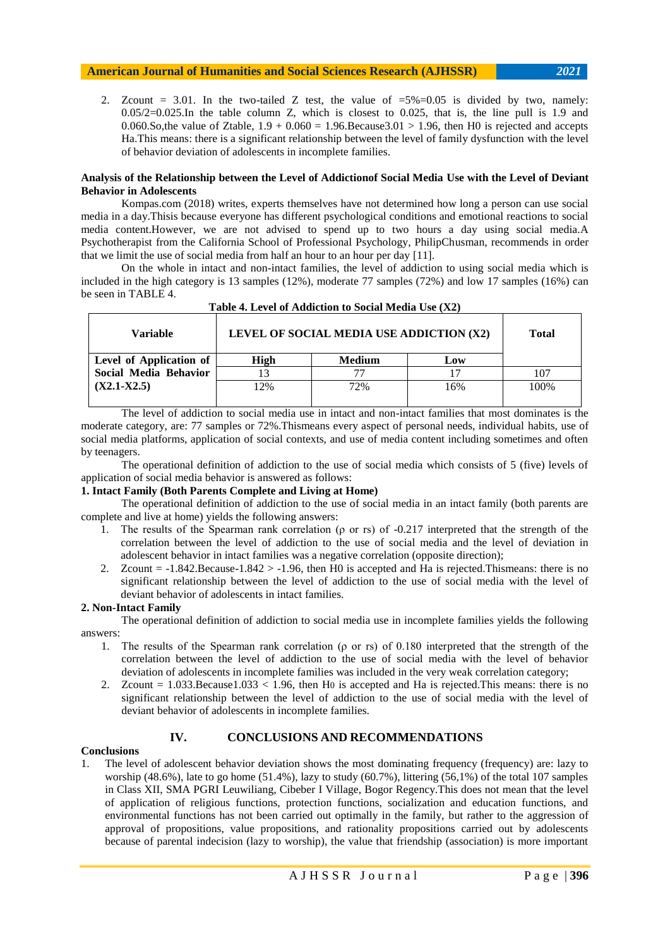## **American Journal of Humanities and Social Sciences Research (AJHSSR)** *2021*

2. Zcount = 3.01. In the two-tailed Z test, the value of  $=5\%=0.05$  is divided by two, namely:  $0.05/2=0.025$ . In the table column Z, which is closest to 0.025, that is, the line pull is 1.9 and 0.060.So,the value of Ztable,  $1.9 + 0.060 = 1.96$ .Because3.01 > 1.96, then H0 is rejected and accepts Ha.This means: there is a significant relationship between the level of family dysfunction with the level of behavior deviation of adolescents in incomplete families.

## **Analysis of the Relationship between the Level of Addictionof Social Media Use with the Level of Deviant Behavior in Adolescents**

Kompas.com (2018) writes, experts themselves have not determined how long a person can use social media in a day.Thisis because everyone has different psychological conditions and emotional reactions to social media content.However, we are not advised to spend up to two hours a day using social media.A Psychotherapist from the California School of Professional Psychology, PhilipChusman, recommends in order that we limit the use of social media from half an hour to an hour per day [11].

On the whole in intact and non-intact families, the level of addiction to using social media which is included in the high category is 13 samples (12%), moderate 77 samples (72%) and low 17 samples (16%) can be seen in TABLE 4.

| Variable                | Tuble - Level of Againtment to Doctal Integral CBC (AM)<br>LEVEL OF SOCIAL MEDIA USE ADDICTION (X2) | <b>Total</b>  |     |      |
|-------------------------|-----------------------------------------------------------------------------------------------------|---------------|-----|------|
| Level of Application of | High                                                                                                | <b>Medium</b> | Low |      |
| Social Media Behavior   |                                                                                                     |               |     | 107  |
| $(X2.1-X2.5)$           | 12%                                                                                                 | 72%           | 16% | 100% |
|                         |                                                                                                     |               |     |      |

## **Table 4. Level of Addiction to Social Media Use (X2)**

The level of addiction to social media use in intact and non-intact families that most dominates is the moderate category, are: 77 samples or 72%.Thismeans every aspect of personal needs, individual habits, use of social media platforms, application of social contexts, and use of media content including sometimes and often by teenagers.

The operational definition of addiction to the use of social media which consists of 5 (five) levels of application of social media behavior is answered as follows:

## **1. Intact Family (Both Parents Complete and Living at Home)**

The operational definition of addiction to the use of social media in an intact family (both parents are complete and live at home) yields the following answers:

- 1. The results of the Spearman rank correlation (ρ or rs) of -0.217 interpreted that the strength of the correlation between the level of addiction to the use of social media and the level of deviation in adolescent behavior in intact families was a negative correlation (opposite direction);
- 2. Zcount = -1.842.Because-1.842 > -1.96, then H0 is accepted and Ha is rejected.Thismeans: there is no significant relationship between the level of addiction to the use of social media with the level of deviant behavior of adolescents in intact families.

## **2. Non-Intact Family**

The operational definition of addiction to social media use in incomplete families yields the following answers:

- 1. The results of the Spearman rank correlation (ρ or rs) of 0.180 interpreted that the strength of the correlation between the level of addiction to the use of social media with the level of behavior deviation of adolescents in incomplete families was included in the very weak correlation category;
- 2. Zcount  $= 1.033$ .Because1.033  $< 1.96$ , then H0 is accepted and Ha is rejected. This means: there is no significant relationship between the level of addiction to the use of social media with the level of deviant behavior of adolescents in incomplete families.

# **IV. CONCLUSIONS AND RECOMMENDATIONS**

## **Conclusions**

1. The level of adolescent behavior deviation shows the most dominating frequency (frequency) are: lazy to worship (48.6%), late to go home (51.4%), lazy to study (60.7%), littering (56,1%) of the total 107 samples in Class XII, SMA PGRI Leuwiliang, Cibeber I Village, Bogor Regency.This does not mean that the level of application of religious functions, protection functions, socialization and education functions, and environmental functions has not been carried out optimally in the family, but rather to the aggression of approval of propositions, value propositions, and rationality propositions carried out by adolescents because of parental indecision (lazy to worship), the value that friendship (association) is more important